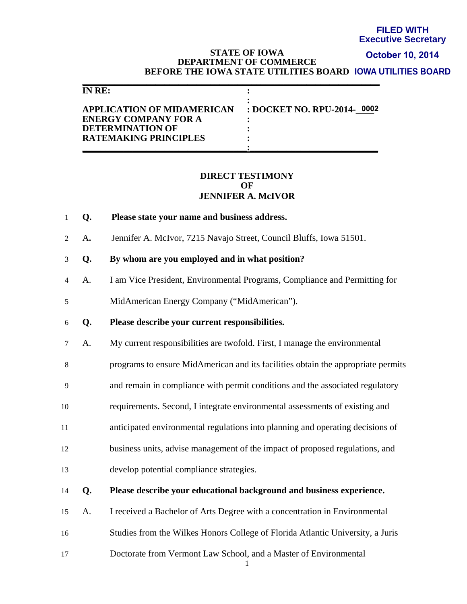# **Executive Secretary**

#### **STATE OF IOWA DEPARTMENT OF COMMERCE BEFORE THE IOWA STATE UTILITIES BOARD IOWA UTILITIES BOARD October 10, 2014**

| <b>FILED WITH</b><br><b>Executive Secre</b><br><b>STATE OF IOWA</b><br>October 10, 20<br><b>DEPARTMENT OF COMMERCE</b><br>BEFORE THE IOWA STATE UTILITIES BOARD IOWA UTILITIES BO<br><b>IN RE:</b><br>: DOCKET NO. RPU-2014- 0002<br><b>APPLICATION OF MIDAMERICAN</b><br><b>ENERGY COMPANY FOR A</b> |                                                                                  |  |
|-------------------------------------------------------------------------------------------------------------------------------------------------------------------------------------------------------------------------------------------------------------------------------------------------------|----------------------------------------------------------------------------------|--|
|                                                                                                                                                                                                                                                                                                       | <b>DETERMINATION OF</b><br><b>RATEMAKING PRINCIPLES</b>                          |  |
|                                                                                                                                                                                                                                                                                                       | <b>DIRECT TESTIMONY</b><br>OF<br><b>JENNIFER A. McIVOR</b>                       |  |
| Q.                                                                                                                                                                                                                                                                                                    | Please state your name and business address.                                     |  |
| A.                                                                                                                                                                                                                                                                                                    | Jennifer A. McIvor, 7215 Navajo Street, Council Bluffs, Iowa 51501.              |  |
| Q.                                                                                                                                                                                                                                                                                                    | By whom are you employed and in what position?                                   |  |
| A.                                                                                                                                                                                                                                                                                                    | I am Vice President, Environmental Programs, Compliance and Permitting for       |  |
|                                                                                                                                                                                                                                                                                                       | MidAmerican Energy Company ("MidAmerican").                                      |  |
| Q.                                                                                                                                                                                                                                                                                                    | Please describe your current responsibilities.                                   |  |
| A.                                                                                                                                                                                                                                                                                                    | My current responsibilities are twofold. First, I manage the environmental       |  |
|                                                                                                                                                                                                                                                                                                       | programs to ensure MidAmerican and its facilities obtain the appropriate permits |  |
|                                                                                                                                                                                                                                                                                                       | and remain in compliance with permit conditions and the associated regulatory    |  |
|                                                                                                                                                                                                                                                                                                       | requirements. Second, I integrate environmental assessments of existing and      |  |
|                                                                                                                                                                                                                                                                                                       | anticipated environmental regulations into planning and operating decisions of   |  |
|                                                                                                                                                                                                                                                                                                       | business units, advise management of the impact of proposed regulations, and     |  |
|                                                                                                                                                                                                                                                                                                       | develop potential compliance strategies.                                         |  |
| Q.                                                                                                                                                                                                                                                                                                    | Please describe your educational background and business experience.             |  |
| A.                                                                                                                                                                                                                                                                                                    | I received a Bachelor of Arts Degree with a concentration in Environmental       |  |
|                                                                                                                                                                                                                                                                                                       | Studies from the Wilkes Honors College of Florida Atlantic University, a Juris   |  |
|                                                                                                                                                                                                                                                                                                       | Doctorate from Vermont Law School, and a Master of Environmental                 |  |

#### **DIRECT TESTIMONY OF JENNIFER A. McIVOR**

- 1 **Q. Please state your name and business address.**
- 2 A**.** Jennifer A. McIvor, 7215 Navajo Street, Council Bluffs, Iowa 51501.
- 3 **Q. By whom are you employed and in what position?**
- 4 A. I am Vice President, Environmental Programs, Compliance and Permitting for
- 5 MidAmerican Energy Company ("MidAmerican").
- 6 **Q. Please describe your current responsibilities.**
- 7 A. My current responsibilities are twofold. First, I manage the environmental
- 8 programs to ensure MidAmerican and its facilities obtain the appropriate permits
- 9 and remain in compliance with permit conditions and the associated regulatory
- 10 requirements. Second, I integrate environmental assessments of existing and
- 11 anticipated environmental regulations into planning and operating decisions of
- 12 business units, advise management of the impact of proposed regulations, and
- 13 develop potential compliance strategies.
- 14 **Q. Please describe your educational background and business experience.**
- 15 A. I received a Bachelor of Arts Degree with a concentration in Environmental
- 16 Studies from the Wilkes Honors College of Florida Atlantic University, a Juris
-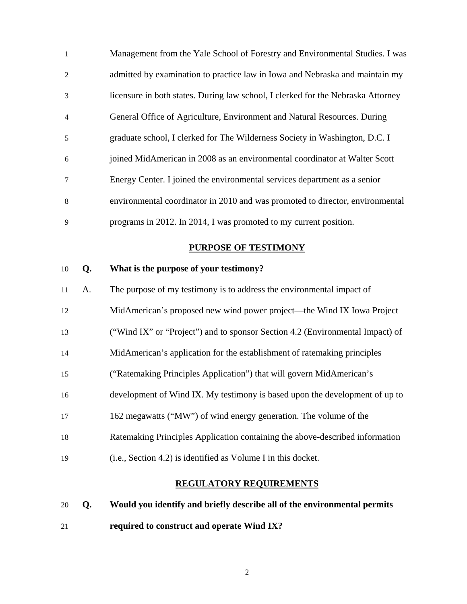| $\mathbf{1}$   | Management from the Yale School of Forestry and Environmental Studies. I was     |
|----------------|----------------------------------------------------------------------------------|
| 2              | admitted by examination to practice law in Iowa and Nebraska and maintain my     |
| 3              | licensure in both states. During law school, I clerked for the Nebraska Attorney |
| $\overline{4}$ | General Office of Agriculture, Environment and Natural Resources. During         |
| 5              | graduate school, I clerked for The Wilderness Society in Washington, D.C. I      |
| 6              | joined MidAmerican in 2008 as an environmental coordinator at Walter Scott       |
| $\tau$         | Energy Center. I joined the environmental services department as a senior        |
| 8              | environmental coordinator in 2010 and was promoted to director, environmental    |
| 9              | programs in 2012. In 2014, I was promoted to my current position.                |

# **PURPOSE OF TESTIMONY**

# 10 **Q. What is the purpose of your testimony?**

| 11 | A. | The purpose of my testimony is to address the environmental impact of         |
|----|----|-------------------------------------------------------------------------------|
| 12 |    | MidAmerican's proposed new wind power project—the Wind IX Iowa Project        |
| 13 |    | ("Wind IX" or "Project") and to sponsor Section 4.2 (Environmental Impact) of |
| 14 |    | MidAmerican's application for the establishment of ratemaking principles      |
| 15 |    | ("Ratemaking Principles Application") that will govern MidAmerican's          |
| 16 |    | development of Wind IX. My testimony is based upon the development of up to   |
| 17 |    | 162 megawatts ("MW") of wind energy generation. The volume of the             |
| 18 |    | Ratemaking Principles Application containing the above-described information  |
| 19 |    | (i.e., Section 4.2) is identified as Volume I in this docket.                 |

### **REGULATORY REQUIREMENTS**

20 **Q. Would you identify and briefly describe all of the environmental permits**  21 **required to construct and operate Wind IX?**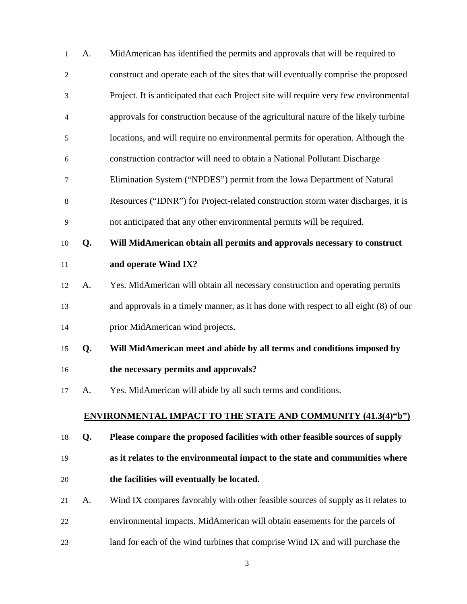| 1              | A. | MidAmerican has identified the permits and approvals that will be required to         |
|----------------|----|---------------------------------------------------------------------------------------|
| $\overline{c}$ |    | construct and operate each of the sites that will eventually comprise the proposed    |
| $\mathfrak{Z}$ |    | Project. It is anticipated that each Project site will require very few environmental |
| 4              |    | approvals for construction because of the agricultural nature of the likely turbine   |
| 5              |    | locations, and will require no environmental permits for operation. Although the      |
| 6              |    | construction contractor will need to obtain a National Pollutant Discharge            |
| 7              |    | Elimination System ("NPDES") permit from the Iowa Department of Natural               |
| $\,8$          |    | Resources ("IDNR") for Project-related construction storm water discharges, it is     |
| 9              |    | not anticipated that any other environmental permits will be required.                |
| 10             | Q. | Will MidAmerican obtain all permits and approvals necessary to construct              |
| 11             |    | and operate Wind IX?                                                                  |
| 12             | A. | Yes. MidAmerican will obtain all necessary construction and operating permits         |
| 13             |    | and approvals in a timely manner, as it has done with respect to all eight (8) of our |
| 14             |    | prior MidAmerican wind projects.                                                      |
| 15             | Q. | Will MidAmerican meet and abide by all terms and conditions imposed by                |
| 16             |    | the necessary permits and approvals?                                                  |
| 17             | A. | Yes. MidAmerican will abide by all such terms and conditions.                         |
|                |    | <b>ENVIRONMENTAL IMPACT TO THE STATE AND COMMUNITY (41.3(4)"b")</b>                   |
| 18             | Q. | Please compare the proposed facilities with other feasible sources of supply          |
| 19             |    | as it relates to the environmental impact to the state and communities where          |
| 20             |    | the facilities will eventually be located.                                            |
| 21             | A. | Wind IX compares favorably with other feasible sources of supply as it relates to     |
| 22             |    | environmental impacts. MidAmerican will obtain easements for the parcels of           |

23 land for each of the wind turbines that comprise Wind IX and will purchase the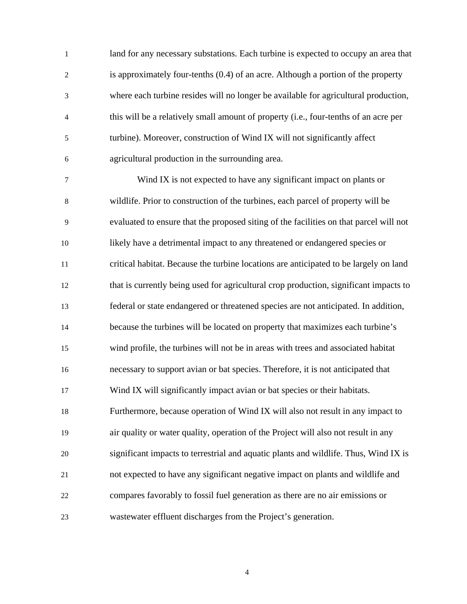1 land for any necessary substations. Each turbine is expected to occupy an area that 2 is approximately four-tenths (0.4) of an acre. Although a portion of the property 3 where each turbine resides will no longer be available for agricultural production, 4 this will be a relatively small amount of property (i.e., four-tenths of an acre per 5 turbine). Moreover, construction of Wind IX will not significantly affect 6 agricultural production in the surrounding area.

7 Wind IX is not expected to have any significant impact on plants or 8 wildlife. Prior to construction of the turbines, each parcel of property will be 9 evaluated to ensure that the proposed siting of the facilities on that parcel will not 10 likely have a detrimental impact to any threatened or endangered species or 11 critical habitat. Because the turbine locations are anticipated to be largely on land 12 that is currently being used for agricultural crop production, significant impacts to 13 federal or state endangered or threatened species are not anticipated. In addition, 14 because the turbines will be located on property that maximizes each turbine's 15 wind profile, the turbines will not be in areas with trees and associated habitat 16 necessary to support avian or bat species. Therefore, it is not anticipated that 17 Wind IX will significantly impact avian or bat species or their habitats. 18 Furthermore, because operation of Wind IX will also not result in any impact to 19 air quality or water quality, operation of the Project will also not result in any 20 significant impacts to terrestrial and aquatic plants and wildlife. Thus, Wind IX is 21 not expected to have any significant negative impact on plants and wildlife and 22 compares favorably to fossil fuel generation as there are no air emissions or 23 wastewater effluent discharges from the Project's generation.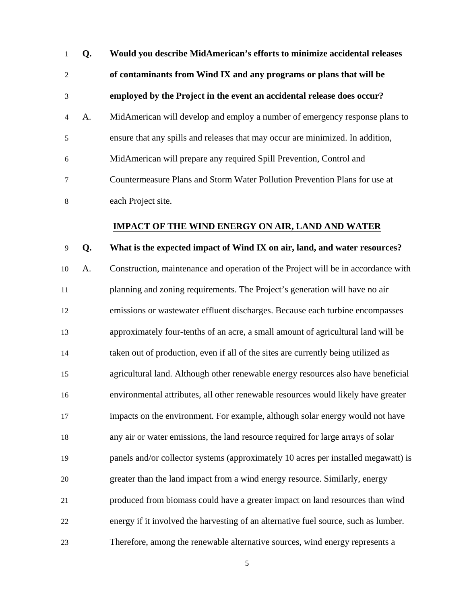| $\mathbf{1}$   | Q. | Would you describe MidAmerican's efforts to minimize accidental releases       |
|----------------|----|--------------------------------------------------------------------------------|
| 2              |    | of contaminants from Wind IX and any programs or plans that will be            |
| 3              |    | employed by the Project in the event an accidental release does occur?         |
| $\overline{4}$ | A. | MidAmerican will develop and employ a number of emergency response plans to    |
| 5              |    | ensure that any spills and releases that may occur are minimized. In addition, |
| 6              |    | MidAmerican will prepare any required Spill Prevention, Control and            |
| 7              |    | Countermeasure Plans and Storm Water Pollution Prevention Plans for use at     |
| 8              |    | each Project site.                                                             |

#### **IMPACT OF THE WIND ENERGY ON AIR, LAND AND WATER**

#### 9 **Q. What is the expected impact of Wind IX on air, land, and water resources?**

10 A. Construction, maintenance and operation of the Project will be in accordance with 11 planning and zoning requirements. The Project's generation will have no air 12 emissions or wastewater effluent discharges. Because each turbine encompasses 13 approximately four-tenths of an acre, a small amount of agricultural land will be 14 taken out of production, even if all of the sites are currently being utilized as 15 agricultural land. Although other renewable energy resources also have beneficial 16 environmental attributes, all other renewable resources would likely have greater 17 impacts on the environment. For example, although solar energy would not have 18 any air or water emissions, the land resource required for large arrays of solar 19 panels and/or collector systems (approximately 10 acres per installed megawatt) is 20 greater than the land impact from a wind energy resource. Similarly, energy 21 produced from biomass could have a greater impact on land resources than wind 22 energy if it involved the harvesting of an alternative fuel source, such as lumber. 23 Therefore, among the renewable alternative sources, wind energy represents a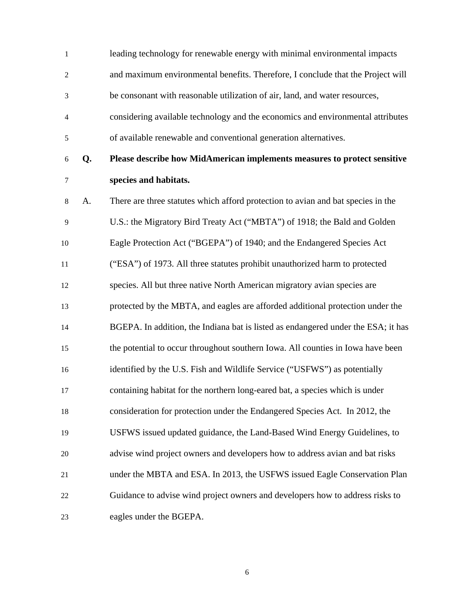| $\mathbf{1}$   |    | leading technology for renewable energy with minimal environmental impacts        |
|----------------|----|-----------------------------------------------------------------------------------|
| $\overline{c}$ |    | and maximum environmental benefits. Therefore, I conclude that the Project will   |
| 3              |    | be consonant with reasonable utilization of air, land, and water resources,       |
| 4              |    | considering available technology and the economics and environmental attributes   |
| 5              |    | of available renewable and conventional generation alternatives.                  |
| 6              | Q. | Please describe how MidAmerican implements measures to protect sensitive          |
| 7              |    | species and habitats.                                                             |
| 8              | A. | There are three statutes which afford protection to avian and bat species in the  |
| 9              |    | U.S.: the Migratory Bird Treaty Act ("MBTA") of 1918; the Bald and Golden         |
| 10             |    | Eagle Protection Act ("BGEPA") of 1940; and the Endangered Species Act            |
| 11             |    | ("ESA") of 1973. All three statutes prohibit unauthorized harm to protected       |
| 12             |    | species. All but three native North American migratory avian species are          |
| 13             |    | protected by the MBTA, and eagles are afforded additional protection under the    |
| 14             |    | BGEPA. In addition, the Indiana bat is listed as endangered under the ESA; it has |
| 15             |    | the potential to occur throughout southern Iowa. All counties in Iowa have been   |
| 16             |    | identified by the U.S. Fish and Wildlife Service ("USFWS") as potentially         |
| 17             |    | containing habitat for the northern long-eared bat, a species which is under      |
| 18             |    | consideration for protection under the Endangered Species Act. In 2012, the       |
| 19             |    | USFWS issued updated guidance, the Land-Based Wind Energy Guidelines, to          |
| 20             |    | advise wind project owners and developers how to address avian and bat risks      |
| 21             |    | under the MBTA and ESA. In 2013, the USFWS issued Eagle Conservation Plan         |
| 22             |    | Guidance to advise wind project owners and developers how to address risks to     |
| 23             |    | eagles under the BGEPA.                                                           |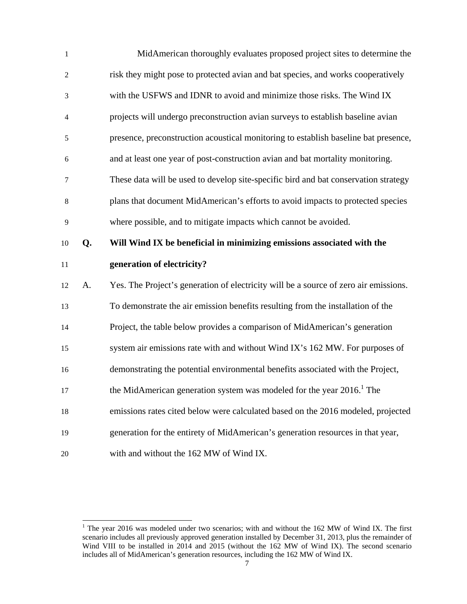| $\mathbf{1}$   |    | MidAmerican thoroughly evaluates proposed project sites to determine the             |
|----------------|----|--------------------------------------------------------------------------------------|
| $\overline{c}$ |    | risk they might pose to protected avian and bat species, and works cooperatively     |
| 3              |    | with the USFWS and IDNR to avoid and minimize those risks. The Wind IX               |
| 4              |    | projects will undergo preconstruction avian surveys to establish baseline avian      |
| 5              |    | presence, preconstruction acoustical monitoring to establish baseline bat presence,  |
| 6              |    | and at least one year of post-construction avian and bat mortality monitoring.       |
| 7              |    | These data will be used to develop site-specific bird and bat conservation strategy  |
| 8              |    | plans that document MidAmerican's efforts to avoid impacts to protected species      |
| 9              |    | where possible, and to mitigate impacts which cannot be avoided.                     |
| 10             | Q. | Will Wind IX be beneficial in minimizing emissions associated with the               |
|                |    |                                                                                      |
| 11             |    | generation of electricity?                                                           |
| 12             | A. | Yes. The Project's generation of electricity will be a source of zero air emissions. |
| 13             |    | To demonstrate the air emission benefits resulting from the installation of the      |
| 14             |    | Project, the table below provides a comparison of MidAmerican's generation           |
| 15             |    | system air emissions rate with and without Wind IX's 162 MW. For purposes of         |
| 16             |    | demonstrating the potential environmental benefits associated with the Project,      |
| 17             |    | the MidAmerican generation system was modeled for the year 2016. <sup>1</sup> The    |
| 18             |    | emissions rates cited below were calculated based on the 2016 modeled, projected     |
| 19             |    | generation for the entirety of MidAmerican's generation resources in that year,      |

<sup>&</sup>lt;sup>1</sup> The year 2016 was modeled under two scenarios; with and without the 162 MW of Wind IX. The first scenario includes all previously approved generation installed by December 31, 2013, plus the remainder of Wind VIII to be installed in 2014 and 2015 (without the 162 MW of Wind IX). The second scenario includes all of MidAmerican's generation resources, including the 162 MW of Wind IX.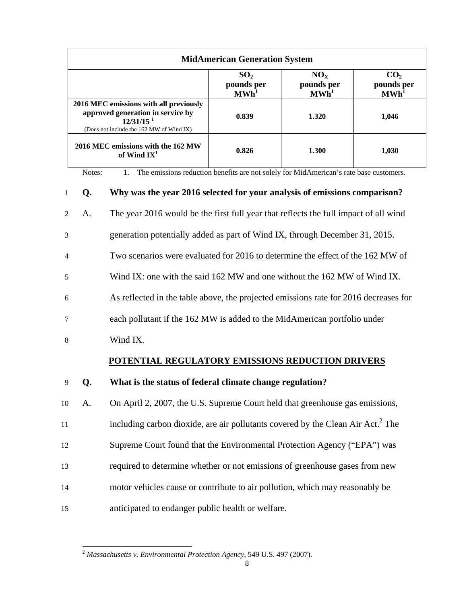|                                                                                                                                                    | <b>MidAmerican Generation System</b>              |                                             |                                             |
|----------------------------------------------------------------------------------------------------------------------------------------------------|---------------------------------------------------|---------------------------------------------|---------------------------------------------|
|                                                                                                                                                    | SO <sub>2</sub><br>pounds per<br>MWh <sup>1</sup> | NO <sub>x</sub><br>pounds per<br><b>MWh</b> | CO <sub>2</sub><br>pounds per<br><b>MWh</b> |
| 2016 MEC emissions with all previously<br>approved generation in service by<br>$12/31/15$ <sup>1</sup><br>(Does not include the 162 MW of Wind IX) | 0.839                                             | 1.320                                       | 1,046                                       |
| 2016 MEC emissions with the 162 MW<br>of Wind $IX^1$                                                                                               | 0.826                                             | 1.300                                       | 1,030                                       |

Notes: 1. The emissions reduction benefits are not solely for MidAmerican's rate base customers.

| 1              | Q. | Why was the year 2016 selected for your analysis of emissions comparison?                   |
|----------------|----|---------------------------------------------------------------------------------------------|
| 2              | A. | The year 2016 would be the first full year that reflects the full impact of all wind        |
| 3              |    | generation potentially added as part of Wind IX, through December 31, 2015.                 |
| $\overline{4}$ |    | Two scenarios were evaluated for 2016 to determine the effect of the 162 MW of              |
| 5              |    | Wind IX: one with the said 162 MW and one without the 162 MW of Wind IX.                    |
| 6              |    | As reflected in the table above, the projected emissions rate for 2016 decreases for        |
| 7              |    | each pollutant if the 162 MW is added to the MidAmerican portfolio under                    |
| 8              |    | Wind IX.                                                                                    |
|                |    |                                                                                             |
|                |    | POTENTIAL REGULATORY EMISSIONS REDUCTION DRIVERS                                            |
| 9              | Q. | What is the status of federal climate change regulation?                                    |
| 10             | A. | On April 2, 2007, the U.S. Supreme Court held that greenhouse gas emissions,                |
| 11             |    | including carbon dioxide, are air pollutants covered by the Clean Air Act. <sup>2</sup> The |
| 12             |    | Supreme Court found that the Environmental Protection Agency ("EPA") was                    |
| 13             |    | required to determine whether or not emissions of greenhouse gases from new                 |
| 14             |    | motor vehicles cause or contribute to air pollution, which may reasonably be                |

l

<sup>2</sup> *Massachusetts v. Environmental Protection Agency*, 549 U.S. 497 (2007).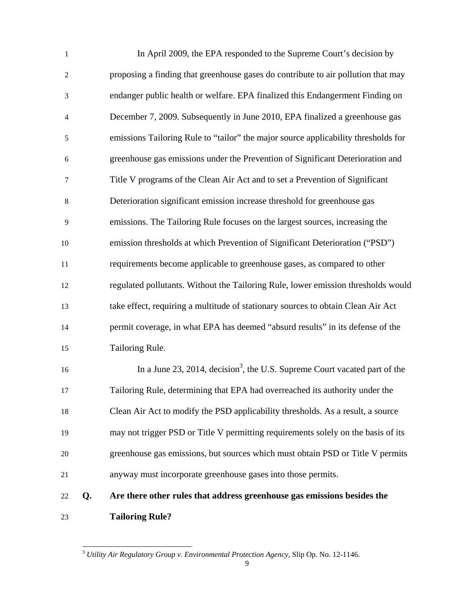| $\mathbf{1}$   |    | In April 2009, the EPA responded to the Supreme Court's decision by                    |
|----------------|----|----------------------------------------------------------------------------------------|
| $\overline{c}$ |    | proposing a finding that greenhouse gases do contribute to air pollution that may      |
| 3              |    | endanger public health or welfare. EPA finalized this Endangerment Finding on          |
| 4              |    | December 7, 2009. Subsequently in June 2010, EPA finalized a greenhouse gas            |
| 5              |    | emissions Tailoring Rule to "tailor" the major source applicability thresholds for     |
| 6              |    | greenhouse gas emissions under the Prevention of Significant Deterioration and         |
| 7              |    | Title V programs of the Clean Air Act and to set a Prevention of Significant           |
| 8              |    | Deterioration significant emission increase threshold for greenhouse gas               |
| 9              |    | emissions. The Tailoring Rule focuses on the largest sources, increasing the           |
| 10             |    | emission thresholds at which Prevention of Significant Deterioration ("PSD")           |
| 11             |    | requirements become applicable to greenhouse gases, as compared to other               |
| 12             |    | regulated pollutants. Without the Tailoring Rule, lower emission thresholds would      |
| 13             |    | take effect, requiring a multitude of stationary sources to obtain Clean Air Act       |
| 14             |    | permit coverage, in what EPA has deemed "absurd results" in its defense of the         |
| 15             |    | Tailoring Rule.                                                                        |
| 16             |    | In a June 23, 2014, decision <sup>3</sup> , the U.S. Supreme Court vacated part of the |
| 17             |    | Tailoring Rule, determining that EPA had overreached its authority under the           |
| 18             |    | Clean Air Act to modify the PSD applicability thresholds. As a result, a source        |
| 19             |    | may not trigger PSD or Title V permitting requirements solely on the basis of its      |
| 20             |    | greenhouse gas emissions, but sources which must obtain PSD or Title V permits         |
| 21             |    | anyway must incorporate greenhouse gases into those permits.                           |
| 22             | Q. | Are there other rules that address greenhouse gas emissions besides the                |
| 23             |    | <b>Tailoring Rule?</b>                                                                 |

l <sup>3</sup> *Utility Air Regulatory Group v. Environmental Protection Agency*, Slip Op. No. 12-1146.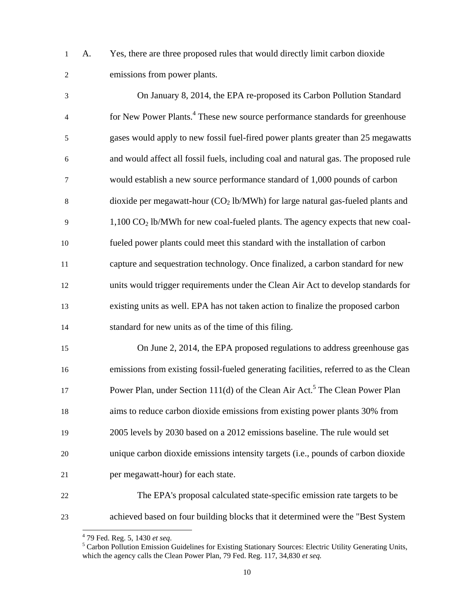1 A. Yes, there are three proposed rules that would directly limit carbon dioxide 2 emissions from power plants.

| $\mathfrak{Z}$ | On January 8, 2014, the EPA re-proposed its Carbon Pollution Standard                        |
|----------------|----------------------------------------------------------------------------------------------|
| $\overline{4}$ | for New Power Plants. <sup>4</sup> These new source performance standards for greenhouse     |
| $\sqrt{5}$     | gases would apply to new fossil fuel-fired power plants greater than 25 megawatts            |
| 6              | and would affect all fossil fuels, including coal and natural gas. The proposed rule         |
| $\tau$         | would establish a new source performance standard of 1,000 pounds of carbon                  |
| $\,8\,$        | dioxide per megawatt-hour $(CO2 lb/MWh)$ for large natural gas-fueled plants and             |
| 9              | $1,100$ CO <sub>2</sub> lb/MWh for new coal-fueled plants. The agency expects that new coal- |
| 10             | fueled power plants could meet this standard with the installation of carbon                 |
| 11             | capture and sequestration technology. Once finalized, a carbon standard for new              |
| 12             | units would trigger requirements under the Clean Air Act to develop standards for            |
| 13             | existing units as well. EPA has not taken action to finalize the proposed carbon             |
| 14             | standard for new units as of the time of this filing.                                        |
| 15             | On June 2, 2014, the EPA proposed regulations to address greenhouse gas                      |
| 16             | emissions from existing fossil-fueled generating facilities, referred to as the Clean        |
| 17             | Power Plan, under Section 111(d) of the Clean Air Act. <sup>5</sup> The Clean Power Plan     |
| 18             | aims to reduce carbon dioxide emissions from existing power plants 30% from                  |
| 19             | 2005 levels by 2030 based on a 2012 emissions baseline. The rule would set                   |
| 20             | unique carbon dioxide emissions intensity targets (i.e., pounds of carbon dioxide            |
| 21             | per megawatt-hour) for each state.                                                           |

22 The EPA's proposal calculated state-specific emission rate targets to be 23 achieved based on four building blocks that it determined were the "Best System

 4 79 Fed. Reg. 5, 1430 *et seq*. 5

<sup>&</sup>lt;sup>5</sup> Carbon Pollution Emission Guidelines for Existing Stationary Sources: Electric Utility Generating Units, which the agency calls the Clean Power Plan, 79 Fed. Reg. 117, 34,830 *et seq.*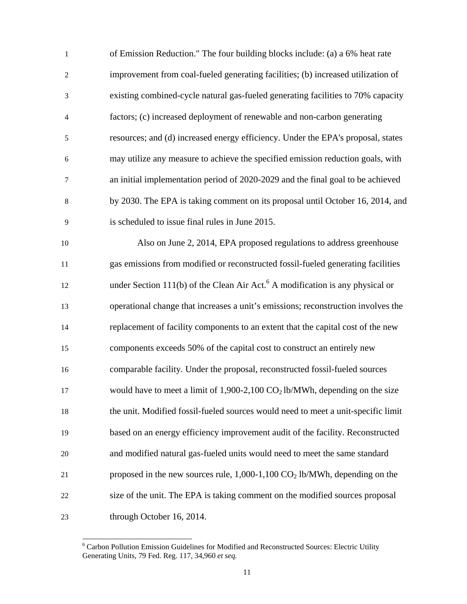| $\mathbf{1}$             | of Emission Reduction." The four building blocks include: (a) a 6% heat rate              |
|--------------------------|-------------------------------------------------------------------------------------------|
| $\mathbf{2}$             | improvement from coal-fueled generating facilities; (b) increased utilization of          |
| 3                        | existing combined-cycle natural gas-fueled generating facilities to 70% capacity          |
| $\overline{\mathcal{A}}$ | factors; (c) increased deployment of renewable and non-carbon generating                  |
| 5                        | resources; and (d) increased energy efficiency. Under the EPA's proposal, states          |
| 6                        | may utilize any measure to achieve the specified emission reduction goals, with           |
| 7                        | an initial implementation period of 2020-2029 and the final goal to be achieved           |
| $8\,$                    | by 2030. The EPA is taking comment on its proposal until October 16, 2014, and            |
| 9                        | is scheduled to issue final rules in June 2015.                                           |
| 10                       | Also on June 2, 2014, EPA proposed regulations to address greenhouse                      |
| $11\,$                   | gas emissions from modified or reconstructed fossil-fueled generating facilities          |
| 12                       | under Section 111(b) of the Clean Air Act. <sup>6</sup> A modification is any physical or |
| 13                       | operational change that increases a unit's emissions; reconstruction involves the         |
| 14                       | replacement of facility components to an extent that the capital cost of the new          |
| 15                       | components exceeds 50% of the capital cost to construct an entirely new                   |
| 16                       | comparable facility. Under the proposal, reconstructed fossil-fueled sources              |
| 17                       | would have to meet a limit of $1,900-2,100 \text{ CO}_2$ lb/MWh, depending on the size    |
| 18                       | the unit. Modified fossil-fueled sources would need to meet a unit-specific limit         |
| 19                       | based on an energy efficiency improvement audit of the facility. Reconstructed            |
| 20                       | and modified natural gas-fueled units would need to meet the same standard                |
| 21                       | proposed in the new sources rule, $1,000-1,100 \text{ CO}_2$ lb/MWh, depending on the     |
| $22\,$                   | size of the unit. The EPA is taking comment on the modified sources proposal              |
| 23                       | through October 16, 2014.                                                                 |

<sup>&</sup>lt;sup>6</sup> Carbon Pollution Emission Guidelines for Modified and Reconstructed Sources: Electric Utility Generating Units, 79 Fed. Reg. 117, 34,960 *et seq.*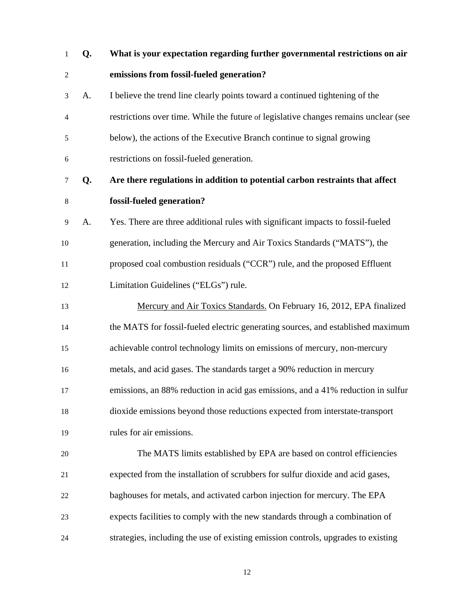1 **Q. What is your expectation regarding further governmental restrictions on air**  2 **emissions from fossil-fueled generation?**  3 A. I believe the trend line clearly points toward a continued tightening of the 4 restrictions over time. While the future of legislative changes remains unclear (see 5 below), the actions of the Executive Branch continue to signal growing 6 restrictions on fossil-fueled generation. 7 **Q. Are there regulations in addition to potential carbon restraints that affect**  8 **fossil-fueled generation?**  9 A. Yes. There are three additional rules with significant impacts to fossil-fueled 10 generation, including the Mercury and Air Toxics Standards ("MATS"), the 11 proposed coal combustion residuals ("CCR") rule, and the proposed Effluent 12 Limitation Guidelines ("ELGs") rule. 13 Mercury and Air Toxics Standards. On February 16, 2012, EPA finalized 14 the MATS for fossil-fueled electric generating sources, and established maximum 15 achievable control technology limits on emissions of mercury, non-mercury 16 metals, and acid gases. The standards target a 90% reduction in mercury 17 emissions, an 88% reduction in acid gas emissions, and a 41% reduction in sulfur 18 dioxide emissions beyond those reductions expected from interstate-transport 19 rules for air emissions. 20 The MATS limits established by EPA are based on control efficiencies 21 expected from the installation of scrubbers for sulfur dioxide and acid gases, 22 baghouses for metals, and activated carbon injection for mercury. The EPA 23 expects facilities to comply with the new standards through a combination of 24 strategies, including the use of existing emission controls, upgrades to existing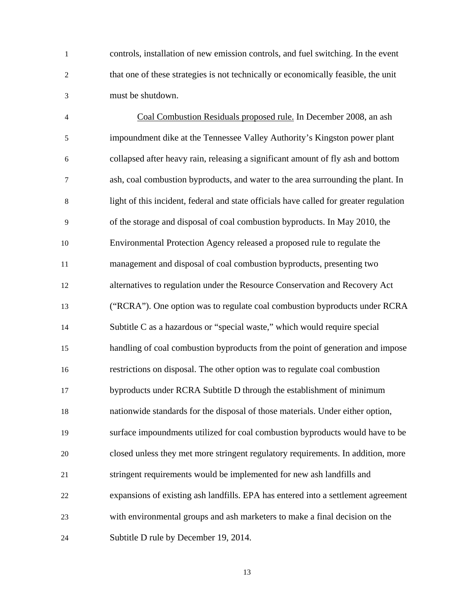1 controls, installation of new emission controls, and fuel switching. In the event 2 that one of these strategies is not technically or economically feasible, the unit 3 must be shutdown.

4 Coal Combustion Residuals proposed rule. In December 2008, an ash 5 impoundment dike at the Tennessee Valley Authority's Kingston power plant 6 collapsed after heavy rain, releasing a significant amount of fly ash and bottom 7 ash, coal combustion byproducts, and water to the area surrounding the plant. In 8 light of this incident, federal and state officials have called for greater regulation 9 of the storage and disposal of coal combustion byproducts. In May 2010, the 10 Environmental Protection Agency released a proposed rule to regulate the 11 management and disposal of coal combustion byproducts, presenting two 12 alternatives to regulation under the Resource Conservation and Recovery Act 13 ("RCRA"). One option was to regulate coal combustion byproducts under RCRA 14 Subtitle C as a hazardous or "special waste," which would require special 15 handling of coal combustion byproducts from the point of generation and impose 16 restrictions on disposal. The other option was to regulate coal combustion 17 byproducts under RCRA Subtitle D through the establishment of minimum 18 nationwide standards for the disposal of those materials. Under either option, 19 surface impoundments utilized for coal combustion byproducts would have to be 20 closed unless they met more stringent regulatory requirements. In addition, more 21 stringent requirements would be implemented for new ash landfills and 22 expansions of existing ash landfills. EPA has entered into a settlement agreement 23 with environmental groups and ash marketers to make a final decision on the 24 Subtitle D rule by December 19, 2014.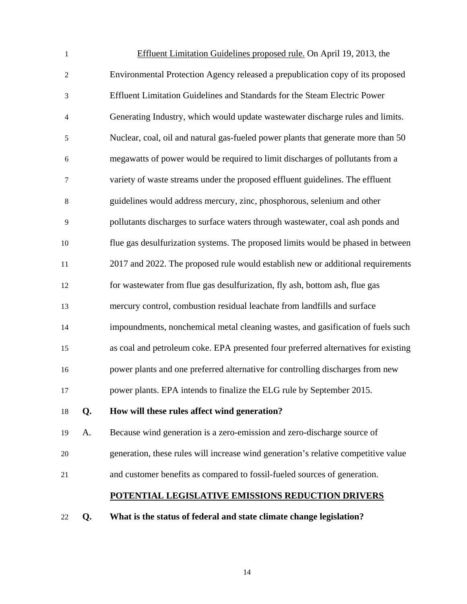| $\mathbf{1}$   |    | Effluent Limitation Guidelines proposed rule. On April 19, 2013, the               |
|----------------|----|------------------------------------------------------------------------------------|
| $\overline{c}$ |    | Environmental Protection Agency released a prepublication copy of its proposed     |
| 3              |    | Effluent Limitation Guidelines and Standards for the Steam Electric Power          |
| $\overline{4}$ |    | Generating Industry, which would update wastewater discharge rules and limits.     |
| 5              |    | Nuclear, coal, oil and natural gas-fueled power plants that generate more than 50  |
| 6              |    | megawatts of power would be required to limit discharges of pollutants from a      |
| 7              |    | variety of waste streams under the proposed effluent guidelines. The effluent      |
| 8              |    | guidelines would address mercury, zinc, phosphorous, selenium and other            |
| 9              |    | pollutants discharges to surface waters through wastewater, coal ash ponds and     |
| 10             |    | flue gas desulfurization systems. The proposed limits would be phased in between   |
| 11             |    | 2017 and 2022. The proposed rule would establish new or additional requirements    |
| 12             |    | for wastewater from flue gas desulfurization, fly ash, bottom ash, flue gas        |
| 13             |    | mercury control, combustion residual leachate from landfills and surface           |
| 14             |    | impoundments, nonchemical metal cleaning wastes, and gasification of fuels such    |
| 15             |    | as coal and petroleum coke. EPA presented four preferred alternatives for existing |
| 16             |    | power plants and one preferred alternative for controlling discharges from new     |
| 17             |    | power plants. EPA intends to finalize the ELG rule by September 2015.              |
| 18             | Q. | How will these rules affect wind generation?                                       |
| 19             | A. | Because wind generation is a zero-emission and zero-discharge source of            |
| 20             |    | generation, these rules will increase wind generation's relative competitive value |
| 21             |    | and customer benefits as compared to fossil-fueled sources of generation.          |
|                |    | POTENTIAL LEGISLATIVE EMISSIONS REDUCTION DRIVERS                                  |
| 22             | Q. | What is the status of federal and state climate change legislation?                |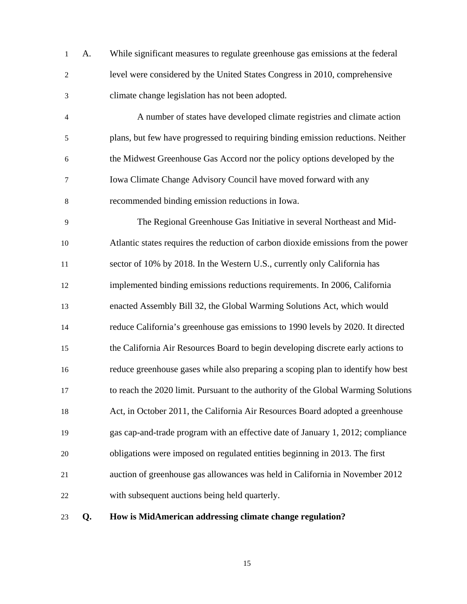| $\mathbf 1$    | A. | While significant measures to regulate greenhouse gas emissions at the federal     |
|----------------|----|------------------------------------------------------------------------------------|
| $\overline{2}$ |    | level were considered by the United States Congress in 2010, comprehensive         |
| 3              |    | climate change legislation has not been adopted.                                   |
| $\overline{4}$ |    | A number of states have developed climate registries and climate action            |
| 5              |    | plans, but few have progressed to requiring binding emission reductions. Neither   |
| 6              |    | the Midwest Greenhouse Gas Accord nor the policy options developed by the          |
| 7              |    | Iowa Climate Change Advisory Council have moved forward with any                   |
| 8              |    | recommended binding emission reductions in Iowa.                                   |
| 9              |    | The Regional Greenhouse Gas Initiative in several Northeast and Mid-               |
| 10             |    | Atlantic states requires the reduction of carbon dioxide emissions from the power  |
| 11             |    | sector of 10% by 2018. In the Western U.S., currently only California has          |
| 12             |    | implemented binding emissions reductions requirements. In 2006, California         |
| 13             |    | enacted Assembly Bill 32, the Global Warming Solutions Act, which would            |
| 14             |    | reduce California's greenhouse gas emissions to 1990 levels by 2020. It directed   |
| 15             |    | the California Air Resources Board to begin developing discrete early actions to   |
| 16             |    | reduce greenhouse gases while also preparing a scoping plan to identify how best   |
| 17             |    | to reach the 2020 limit. Pursuant to the authority of the Global Warming Solutions |
| 18             |    | Act, in October 2011, the California Air Resources Board adopted a greenhouse      |
| 19             |    | gas cap-and-trade program with an effective date of January 1, 2012; compliance    |
| 20             |    | obligations were imposed on regulated entities beginning in 2013. The first        |
| 21             |    | auction of greenhouse gas allowances was held in California in November 2012       |
| 22             |    | with subsequent auctions being held quarterly.                                     |
| 23             | Q. | How is MidAmerican addressing climate change regulation?                           |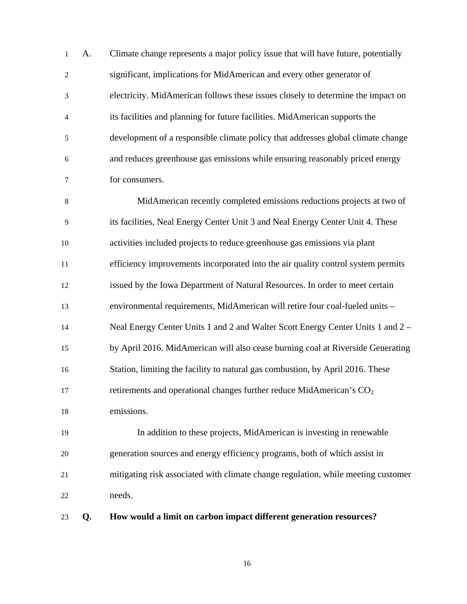1 A. Climate change represents a major policy issue that will have future, potentially 2 significant, implications for MidAmerican and every other generator of 3 electricity. MidAmerican follows these issues closely to determine the impact on 4 its facilities and planning for future facilities. MidAmerican supports the 5 development of a responsible climate policy that addresses global climate change 6 and reduces greenhouse gas emissions while ensuring reasonably priced energy 7 for consumers.

8 MidAmerican recently completed emissions reductions projects at two of 9 its facilities, Neal Energy Center Unit 3 and Neal Energy Center Unit 4. These 10 activities included projects to reduce greenhouse gas emissions via plant 11 efficiency improvements incorporated into the air quality control system permits 12 issued by the Iowa Department of Natural Resources. In order to meet certain 13 environmental requirements, MidAmerican will retire four coal-fueled units – 14 Neal Energy Center Units 1 and 2 and Walter Scott Energy Center Units 1 and 2 – 15 by April 2016. MidAmerican will also cease burning coal at Riverside Generating 16 Station, limiting the facility to natural gas combustion, by April 2016. These 17 retirements and operational changes further reduce MidAmerican's  $CO<sub>2</sub>$ 18 emissions.

19 In addition to these projects, MidAmerican is investing in renewable 20 generation sources and energy efficiency programs, both of which assist in 21 mitigating risk associated with climate change regulation, while meeting customer 22 needs.

23 **Q. How would a limit on carbon impact different generation resources?**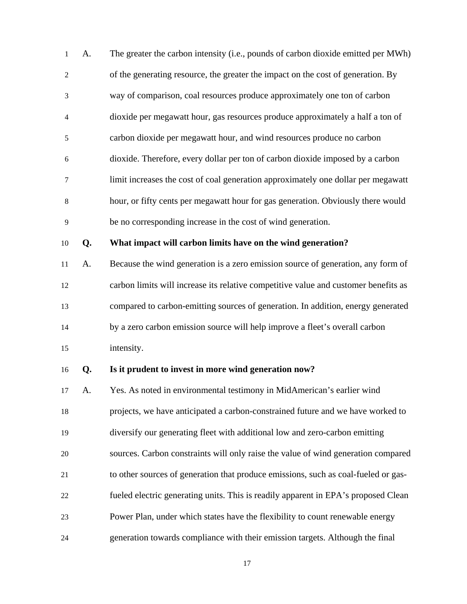| 1                | A. | The greater the carbon intensity (i.e., pounds of carbon dioxide emitted per MWh)   |
|------------------|----|-------------------------------------------------------------------------------------|
| $\boldsymbol{2}$ |    | of the generating resource, the greater the impact on the cost of generation. By    |
| 3                |    | way of comparison, coal resources produce approximately one ton of carbon           |
| 4                |    | dioxide per megawatt hour, gas resources produce approximately a half a ton of      |
| 5                |    | carbon dioxide per megawatt hour, and wind resources produce no carbon              |
| 6                |    | dioxide. Therefore, every dollar per ton of carbon dioxide imposed by a carbon      |
| 7                |    | limit increases the cost of coal generation approximately one dollar per megawatt   |
| $\,8\,$          |    | hour, or fifty cents per megawatt hour for gas generation. Obviously there would    |
| 9                |    | be no corresponding increase in the cost of wind generation.                        |
| 10               | Q. | What impact will carbon limits have on the wind generation?                         |
| 11               | A. | Because the wind generation is a zero emission source of generation, any form of    |
| 12               |    | carbon limits will increase its relative competitive value and customer benefits as |
| 13               |    | compared to carbon-emitting sources of generation. In addition, energy generated    |
| 14               |    | by a zero carbon emission source will help improve a fleet's overall carbon         |
| 15               |    | intensity.                                                                          |
| 16               | Q. | Is it prudent to invest in more wind generation now?                                |
| 17               | A. | Yes. As noted in environmental testimony in MidAmerican's earlier wind              |
| 18               |    | projects, we have anticipated a carbon-constrained future and we have worked to     |
| 19               |    | diversify our generating fleet with additional low and zero-carbon emitting         |
| $20\,$           |    | sources. Carbon constraints will only raise the value of wind generation compared   |
| 21               |    | to other sources of generation that produce emissions, such as coal-fueled or gas-  |
| 22               |    | fueled electric generating units. This is readily apparent in EPA's proposed Clean  |
| 23               |    | Power Plan, under which states have the flexibility to count renewable energy       |
|                  |    |                                                                                     |

24 generation towards compliance with their emission targets. Although the final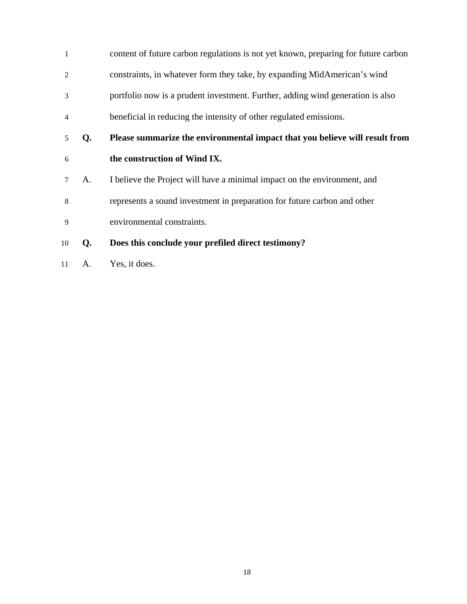| $\mathbf{1}$   |    | content of future carbon regulations is not yet known, preparing for future carbon |
|----------------|----|------------------------------------------------------------------------------------|
| 2              |    | constraints, in whatever form they take, by expanding MidAmerican's wind           |
| 3              |    | portfolio now is a prudent investment. Further, adding wind generation is also     |
| $\overline{4}$ |    | beneficial in reducing the intensity of other regulated emissions.                 |
| 5              | Q. | Please summarize the environmental impact that you believe will result from        |
| 6              |    | the construction of Wind IX.                                                       |
|                |    |                                                                                    |
|                | A. | I believe the Project will have a minimal impact on the environment, and           |
| 8              |    | represents a sound investment in preparation for future carbon and other           |
| 9              |    | environmental constraints.                                                         |

11 A. Yes, it does.